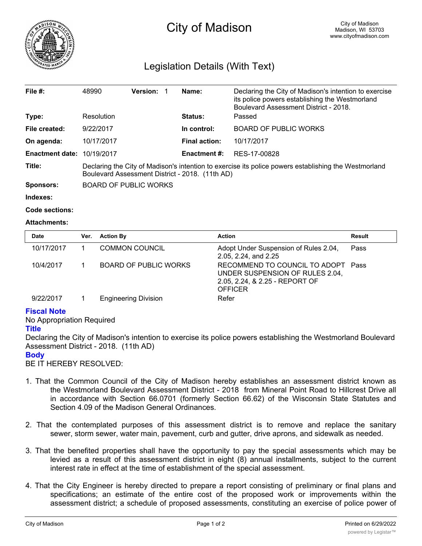

# City of Madison

# Legislation Details (With Text)

| File $#$ :             | 48990                                                                                                                                                   | <b>Version:</b> |  | Name:                | Declaring the City of Madison's intention to exercise<br>its police powers establishing the Westmorland<br>Boulevard Assessment District - 2018. |  |
|------------------------|---------------------------------------------------------------------------------------------------------------------------------------------------------|-----------------|--|----------------------|--------------------------------------------------------------------------------------------------------------------------------------------------|--|
| Type:                  | Resolution                                                                                                                                              |                 |  | <b>Status:</b>       | Passed                                                                                                                                           |  |
| File created:          | 9/22/2017                                                                                                                                               |                 |  | In control:          | <b>BOARD OF PUBLIC WORKS</b>                                                                                                                     |  |
| On agenda:             | 10/17/2017                                                                                                                                              |                 |  | <b>Final action:</b> | 10/17/2017                                                                                                                                       |  |
| <b>Enactment date:</b> | 10/19/2017                                                                                                                                              |                 |  | <b>Enactment #:</b>  | RES-17-00828                                                                                                                                     |  |
| Title:                 | Declaring the City of Madison's intention to exercise its police powers establishing the Westmorland<br>Boulevard Assessment District - 2018. (11th AD) |                 |  |                      |                                                                                                                                                  |  |
| Sponsors:              | <b>BOARD OF PUBLIC WORKS</b>                                                                                                                            |                 |  |                      |                                                                                                                                                  |  |

**Indexes:**

```
Code sections:
```
## **Attachments:**

| <b>Date</b> | Ver. | <b>Action By</b>            | <b>Action</b>                                                                                                             | Result |
|-------------|------|-----------------------------|---------------------------------------------------------------------------------------------------------------------------|--------|
| 10/17/2017  |      | <b>COMMON COUNCIL</b>       | Adopt Under Suspension of Rules 2.04,<br>2.05, 2.24, and 2.25                                                             | Pass   |
| 10/4/2017   |      | BOARD OF PUBLIC WORKS       | RECOMMEND TO COUNCIL TO ADOPT Pass<br>UNDER SUSPENSION OF RULES 2.04,<br>2.05, 2.24, & 2.25 - REPORT OF<br><b>OFFICER</b> |        |
| 9/22/2017   |      | <b>Engineering Division</b> | Refer                                                                                                                     |        |

# **Fiscal Note**

No Appropriation Required

## **Title**

Declaring the City of Madison's intention to exercise its police powers establishing the Westmorland Boulevard Assessment District - 2018. (11th AD)

## **Body**

BE IT HEREBY RESOLVED:

- 1. That the Common Council of the City of Madison hereby establishes an assessment district known as the Westmorland Boulevard Assessment District - 2018 from Mineral Point Road to Hillcrest Drive all in accordance with Section 66.0701 (formerly Section 66.62) of the Wisconsin State Statutes and Section 4.09 of the Madison General Ordinances.
- 2. That the contemplated purposes of this assessment district is to remove and replace the sanitary sewer, storm sewer, water main, pavement, curb and gutter, drive aprons, and sidewalk as needed.
- 3. That the benefited properties shall have the opportunity to pay the special assessments which may be levied as a result of this assessment district in eight (8) annual installments, subject to the current interest rate in effect at the time of establishment of the special assessment.
- 4. That the City Engineer is hereby directed to prepare a report consisting of preliminary or final plans and specifications; an estimate of the entire cost of the proposed work or improvements within the assessment district; a schedule of proposed assessments, constituting an exercise of police power of